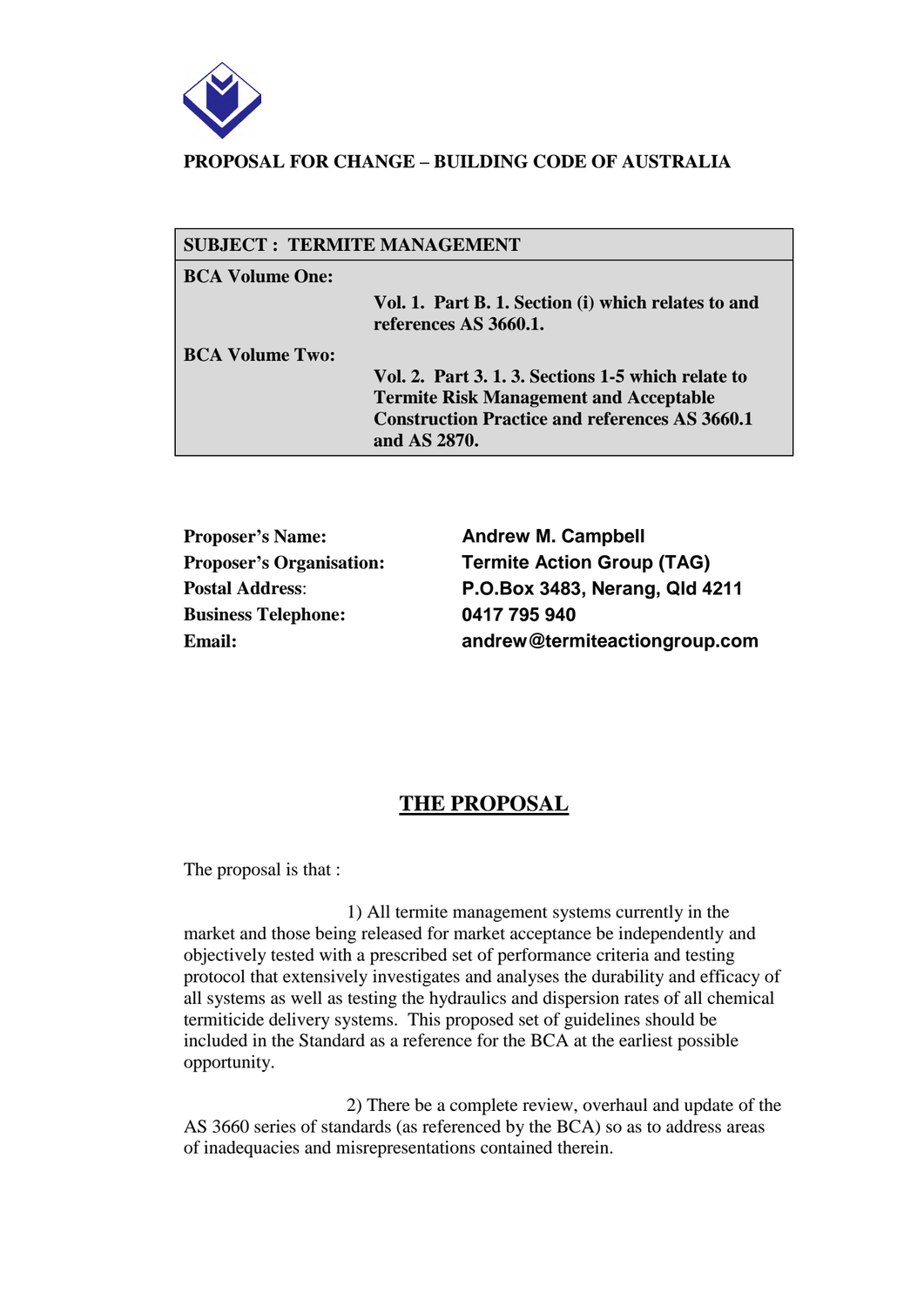

### **PROPOSAL FOR CHANGE – BUILDING CODE OF AUSTRALIA**

| <b>SUBJECT: TERMITE MANAGEMENT</b> |                                                                                                                                                                              |
|------------------------------------|------------------------------------------------------------------------------------------------------------------------------------------------------------------------------|
| <b>BCA Volume One:</b>             |                                                                                                                                                                              |
|                                    | Vol. 1. Part B. 1. Section (i) which relates to and<br>references AS 3660.1.                                                                                                 |
| <b>BCA Volume Two:</b>             | Vol. 2. Part 3. 1. 3. Sections 1-5 which relate to<br><b>Termite Risk Management and Acceptable</b><br><b>Construction Practice and references AS 3660.1</b><br>and AS 2870. |

**Proposer's Name: Andrew M. Campbell Business Telephone: 0417 795 940**

**Proposer's Organisation: Termite Action Group (TAG) Postal Address**: **P.O.Box 3483, Nerang, Qld 4211 Email: andrew@termiteactiongroup.com**

# **THE PROPOSAL**

The proposal is that :

 1) All termite management systems currently in the market and those being released for market acceptance be independently and objectively tested with a prescribed set of performance criteria and testing protocol that extensively investigates and analyses the durability and efficacy of all systems as well as testing the hydraulics and dispersion rates of all chemical termiticide delivery systems. This proposed set of guidelines should be included in the Standard as a reference for the BCA at the earliest possible opportunity.

 2) There be a complete review, overhaul and update of the AS 3660 series of standards (as referenced by the BCA) so as to address areas of inadequacies and misrepresentations contained therein.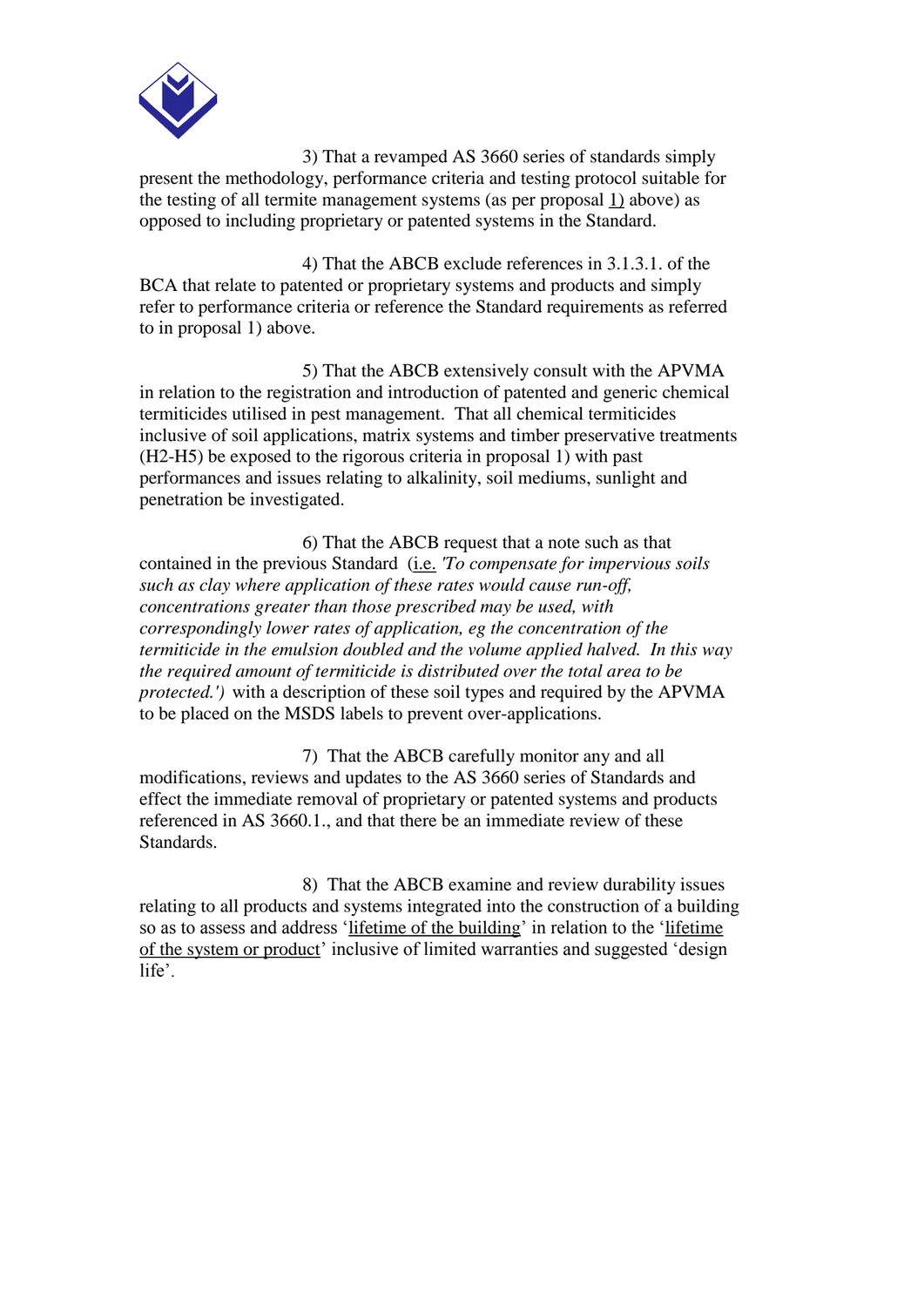

 3) That a revamped AS 3660 series of standards simply present the methodology, performance criteria and testing protocol suitable for the testing of all termite management systems (as per proposal 1) above) as opposed to including proprietary or patented systems in the Standard.

 4) That the ABCB exclude references in 3.1.3.1. of the BCA that relate to patented or proprietary systems and products and simply refer to performance criteria or reference the Standard requirements as referred to in proposal 1) above.

 5) That the ABCB extensively consult with the APVMA in relation to the registration and introduction of patented and generic chemical termiticides utilised in pest management. That all chemical termiticides inclusive of soil applications, matrix systems and timber preservative treatments (H2-H5) be exposed to the rigorous criteria in proposal 1) with past performances and issues relating to alkalinity, soil mediums, sunlight and penetration be investigated.

 6) That the ABCB request that a note such as that contained in the previous Standard (i.e. *'To compensate for impervious soils such as clay where application of these rates would cause run-off, concentrations greater than those prescribed may be used, with correspondingly lower rates of application, eg the concentration of the termiticide in the emulsion doubled and the volume applied halved. In this way the required amount of termiticide is distributed over the total area to be protected.')* with a description of these soil types and required by the APVMA to be placed on the MSDS labels to prevent over-applications.

 7) That the ABCB carefully monitor any and all modifications, reviews and updates to the AS 3660 series of Standards and effect the immediate removal of proprietary or patented systems and products referenced in AS 3660.1., and that there be an immediate review of these Standards.

 8) That the ABCB examine and review durability issues relating to all products and systems integrated into the construction of a building so as to assess and address 'lifetime of the building' in relation to the 'lifetime of the system or product' inclusive of limited warranties and suggested 'design life'.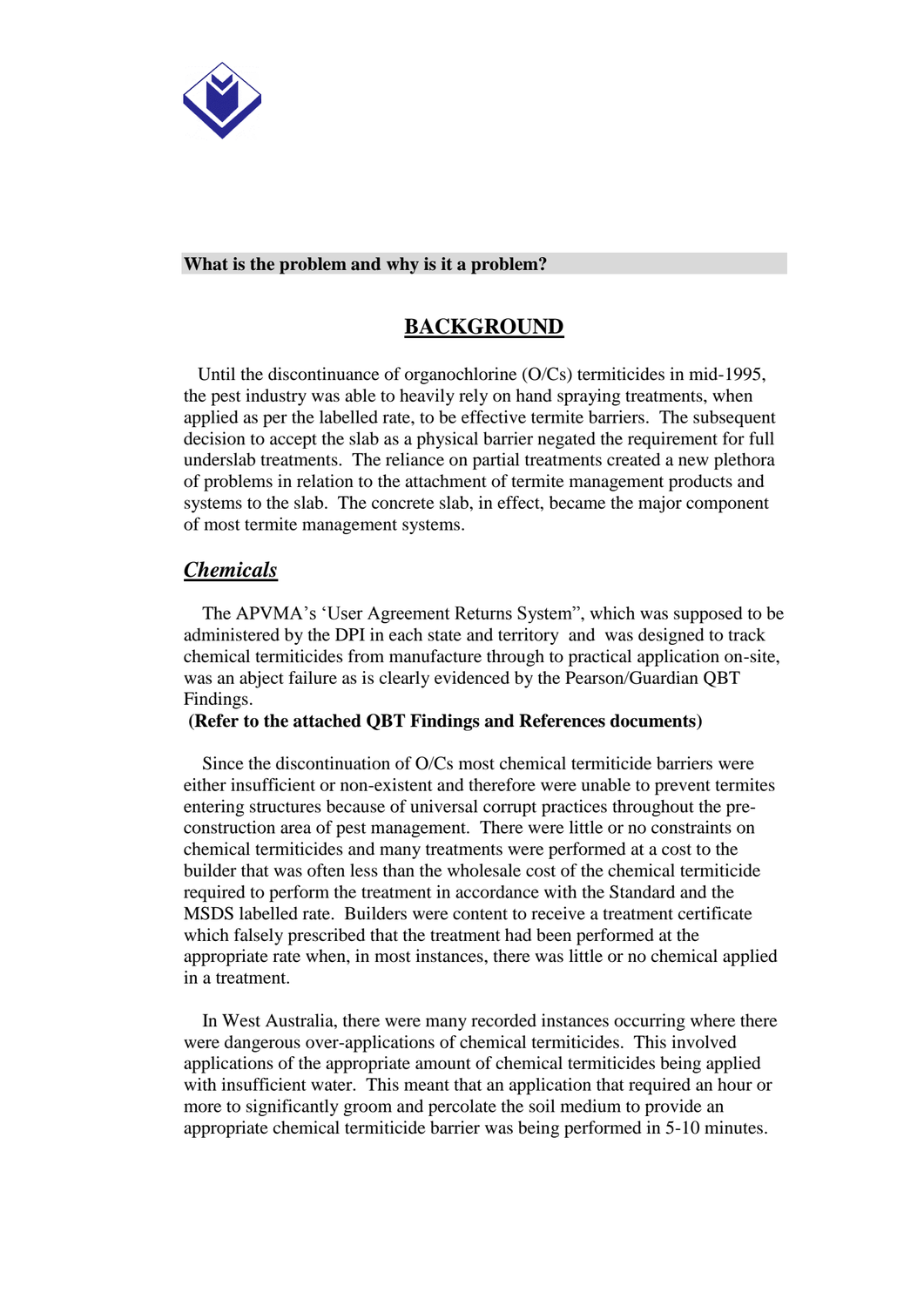

#### **What is the problem and why is it a problem?**

## **BACKGROUND**

Until the discontinuance of organochlorine (O/Cs) termiticides in mid-1995, the pest industry was able to heavily rely on hand spraying treatments, when applied as per the labelled rate, to be effective termite barriers. The subsequent decision to accept the slab as a physical barrier negated the requirement for full underslab treatments. The reliance on partial treatments created a new plethora of problems in relation to the attachment of termite management products and systems to the slab. The concrete slab, in effect, became the major component of most termite management systems.

## *Chemicals*

 The APVMA's 'User Agreement Returns System", which was supposed to be administered by the DPI in each state and territory and was designed to track chemical termiticides from manufacture through to practical application on-site, was an abject failure as is clearly evidenced by the Pearson/Guardian QBT Findings.

#### **(Refer to the attached QBT Findings and References documents)**

 Since the discontinuation of O/Cs most chemical termiticide barriers were either insufficient or non-existent and therefore were unable to prevent termites entering structures because of universal corrupt practices throughout the preconstruction area of pest management. There were little or no constraints on chemical termiticides and many treatments were performed at a cost to the builder that was often less than the wholesale cost of the chemical termiticide required to perform the treatment in accordance with the Standard and the MSDS labelled rate. Builders were content to receive a treatment certificate which falsely prescribed that the treatment had been performed at the appropriate rate when, in most instances, there was little or no chemical applied in a treatment.

 In West Australia, there were many recorded instances occurring where there were dangerous over-applications of chemical termiticides. This involved applications of the appropriate amount of chemical termiticides being applied with insufficient water. This meant that an application that required an hour or more to significantly groom and percolate the soil medium to provide an appropriate chemical termiticide barrier was being performed in 5-10 minutes.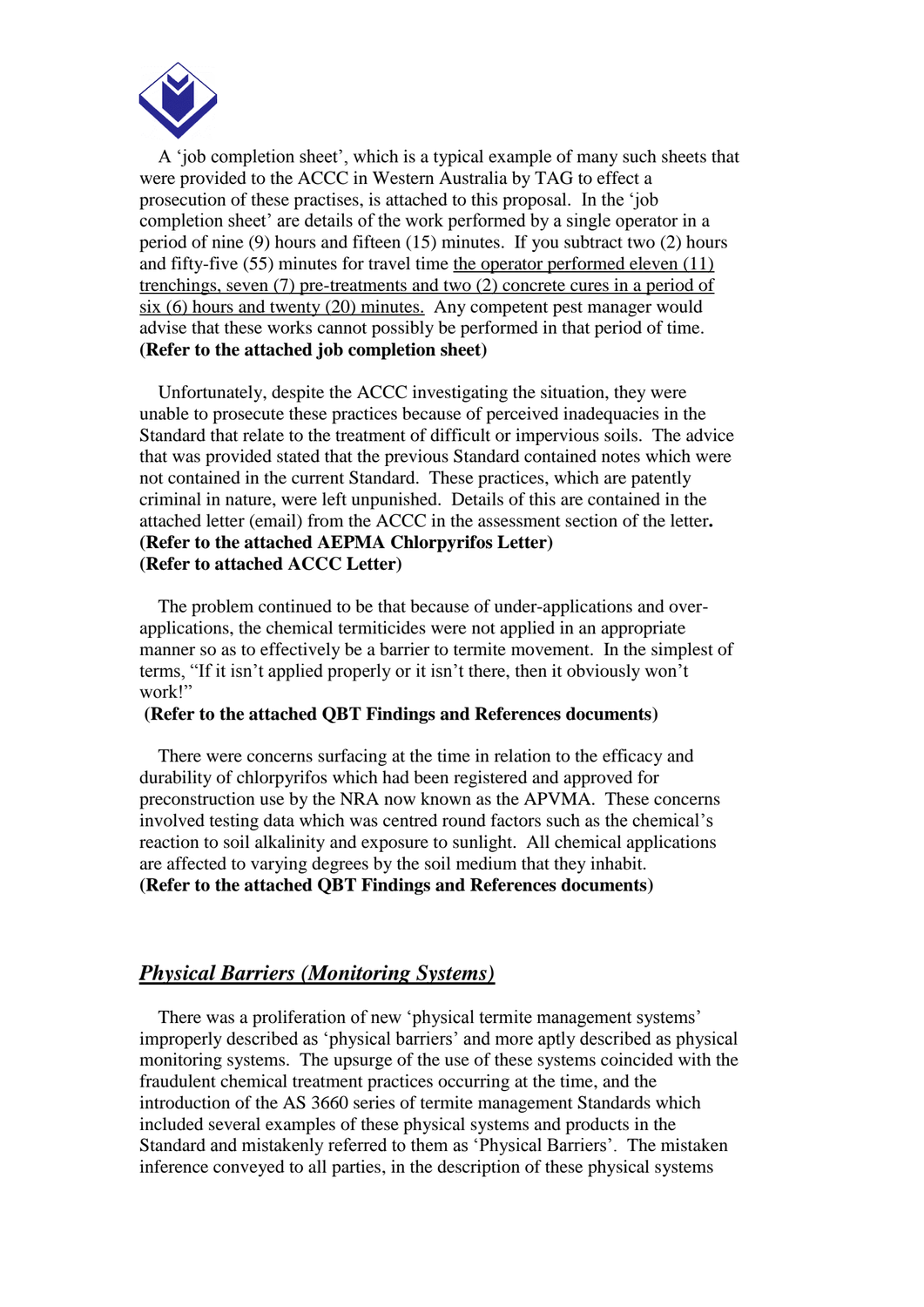

 A 'job completion sheet', which is a typical example of many such sheets that were provided to the ACCC in Western Australia by TAG to effect a prosecution of these practises, is attached to this proposal. In the 'job completion sheet' are details of the work performed by a single operator in a period of nine (9) hours and fifteen (15) minutes. If you subtract two (2) hours and fifty-five (55) minutes for travel time the operator performed eleven (11) trenchings, seven (7) pre-treatments and two (2) concrete cures in a period of six (6) hours and twenty (20) minutes. Any competent pest manager would advise that these works cannot possibly be performed in that period of time. **(Refer to the attached job completion sheet)**

 Unfortunately, despite the ACCC investigating the situation, they were unable to prosecute these practices because of perceived inadequacies in the Standard that relate to the treatment of difficult or impervious soils. The advice that was provided stated that the previous Standard contained notes which were not contained in the current Standard. These practices, which are patently criminal in nature, were left unpunished. Details of this are contained in the attached letter (email) from the ACCC in the assessment section of the letter**. (Refer to the attached AEPMA Chlorpyrifos Letter) (Refer to attached ACCC Letter)**

 The problem continued to be that because of under-applications and overapplications, the chemical termiticides were not applied in an appropriate manner so as to effectively be a barrier to termite movement. In the simplest of terms, "If it isn't applied properly or it isn't there, then it obviously won't work!"

#### **(Refer to the attached QBT Findings and References documents)**

There were concerns surfacing at the time in relation to the efficacy and durability of chlorpyrifos which had been registered and approved for preconstruction use by the NRA now known as the APVMA. These concerns involved testing data which was centred round factors such as the chemical's reaction to soil alkalinity and exposure to sunlight. All chemical applications are affected to varying degrees by the soil medium that they inhabit. **(Refer to the attached QBT Findings and References documents)**

### *Physical Barriers (Monitoring Systems)*

 There was a proliferation of new 'physical termite management systems' improperly described as 'physical barriers' and more aptly described as physical monitoring systems. The upsurge of the use of these systems coincided with the fraudulent chemical treatment practices occurring at the time, and the introduction of the AS 3660 series of termite management Standards which included several examples of these physical systems and products in the Standard and mistakenly referred to them as 'Physical Barriers'. The mistaken inference conveyed to all parties, in the description of these physical systems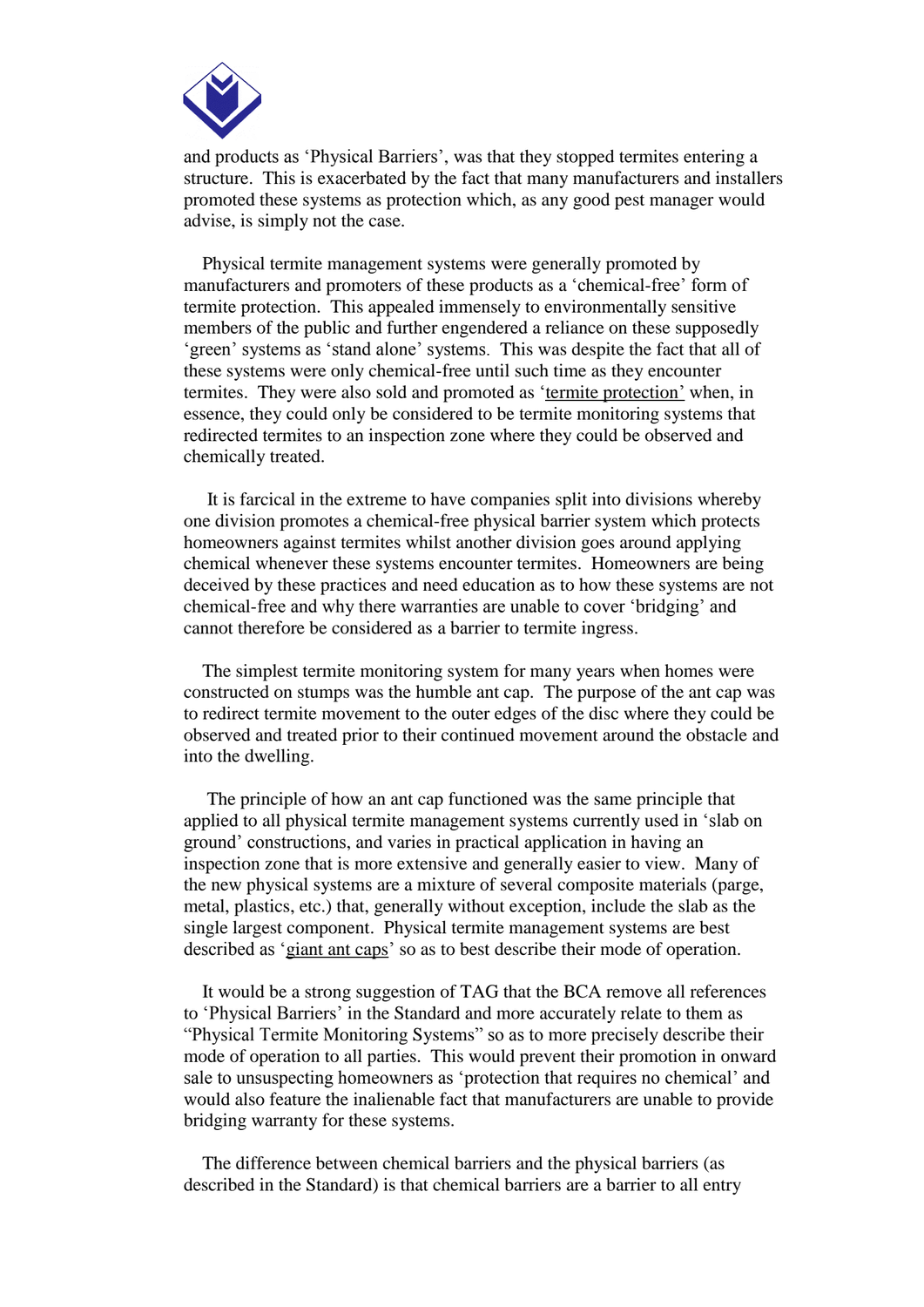

and products as 'Physical Barriers', was that they stopped termites entering a structure. This is exacerbated by the fact that many manufacturers and installers promoted these systems as protection which, as any good pest manager would advise, is simply not the case.

 Physical termite management systems were generally promoted by manufacturers and promoters of these products as a 'chemical-free' form of termite protection. This appealed immensely to environmentally sensitive members of the public and further engendered a reliance on these supposedly 'green' systems as 'stand alone' systems. This was despite the fact that all of these systems were only chemical-free until such time as they encounter termites. They were also sold and promoted as 'termite protection' when, in essence, they could only be considered to be termite monitoring systems that redirected termites to an inspection zone where they could be observed and chemically treated.

 It is farcical in the extreme to have companies split into divisions whereby one division promotes a chemical-free physical barrier system which protects homeowners against termites whilst another division goes around applying chemical whenever these systems encounter termites. Homeowners are being deceived by these practices and need education as to how these systems are not chemical-free and why there warranties are unable to cover 'bridging' and cannot therefore be considered as a barrier to termite ingress.

 The simplest termite monitoring system for many years when homes were constructed on stumps was the humble ant cap. The purpose of the ant cap was to redirect termite movement to the outer edges of the disc where they could be observed and treated prior to their continued movement around the obstacle and into the dwelling.

 The principle of how an ant cap functioned was the same principle that applied to all physical termite management systems currently used in 'slab on ground' constructions, and varies in practical application in having an inspection zone that is more extensive and generally easier to view. Many of the new physical systems are a mixture of several composite materials (parge, metal, plastics, etc.) that, generally without exception, include the slab as the single largest component. Physical termite management systems are best described as 'giant ant caps' so as to best describe their mode of operation.

 It would be a strong suggestion of TAG that the BCA remove all references to 'Physical Barriers' in the Standard and more accurately relate to them as "Physical Termite Monitoring Systems" so as to more precisely describe their mode of operation to all parties. This would prevent their promotion in onward sale to unsuspecting homeowners as 'protection that requires no chemical' and would also feature the inalienable fact that manufacturers are unable to provide bridging warranty for these systems.

 The difference between chemical barriers and the physical barriers (as described in the Standard) is that chemical barriers are a barrier to all entry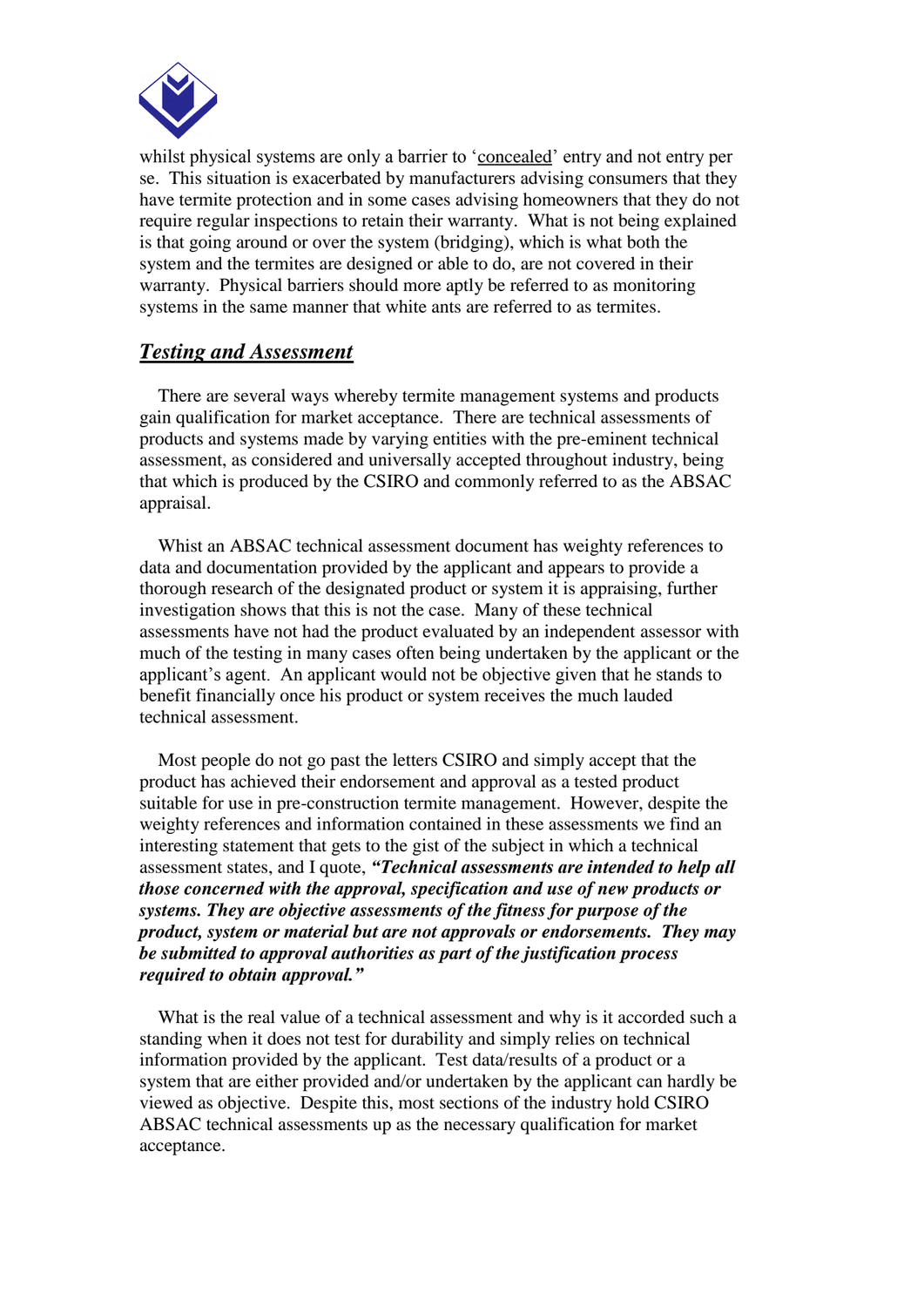

whilst physical systems are only a barrier to 'concealed' entry and not entry per se. This situation is exacerbated by manufacturers advising consumers that they have termite protection and in some cases advising homeowners that they do not require regular inspections to retain their warranty. What is not being explained is that going around or over the system (bridging), which is what both the system and the termites are designed or able to do, are not covered in their warranty. Physical barriers should more aptly be referred to as monitoring systems in the same manner that white ants are referred to as termites.

### *Testing and Assessment*

 There are several ways whereby termite management systems and products gain qualification for market acceptance. There are technical assessments of products and systems made by varying entities with the pre-eminent technical assessment, as considered and universally accepted throughout industry, being that which is produced by the CSIRO and commonly referred to as the ABSAC appraisal.

 Whist an ABSAC technical assessment document has weighty references to data and documentation provided by the applicant and appears to provide a thorough research of the designated product or system it is appraising, further investigation shows that this is not the case. Many of these technical assessments have not had the product evaluated by an independent assessor with much of the testing in many cases often being undertaken by the applicant or the applicant's agent. An applicant would not be objective given that he stands to benefit financially once his product or system receives the much lauded technical assessment.

 Most people do not go past the letters CSIRO and simply accept that the product has achieved their endorsement and approval as a tested product suitable for use in pre-construction termite management. However, despite the weighty references and information contained in these assessments we find an interesting statement that gets to the gist of the subject in which a technical assessment states, and I quote, *"Technical assessments are intended to help all those concerned with the approval, specification and use of new products or systems. They are objective assessments of the fitness for purpose of the product, system or material but are not approvals or endorsements. They may be submitted to approval authorities as part of the justification process required to obtain approval."*

 What is the real value of a technical assessment and why is it accorded such a standing when it does not test for durability and simply relies on technical information provided by the applicant. Test data/results of a product or a system that are either provided and/or undertaken by the applicant can hardly be viewed as objective. Despite this, most sections of the industry hold CSIRO ABSAC technical assessments up as the necessary qualification for market acceptance.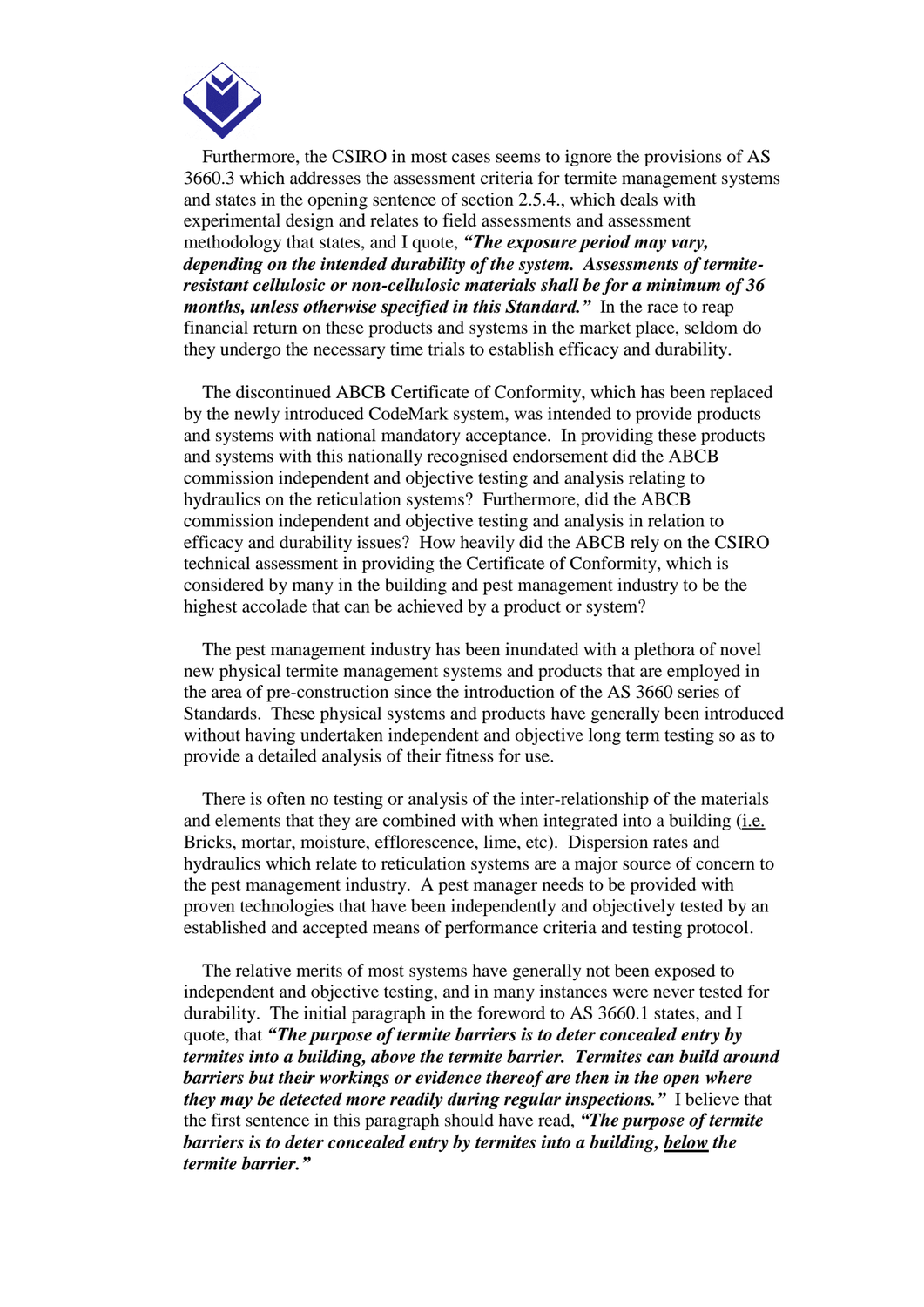

 Furthermore, the CSIRO in most cases seems to ignore the provisions of AS 3660.3 which addresses the assessment criteria for termite management systems and states in the opening sentence of section 2.5.4., which deals with experimental design and relates to field assessments and assessment methodology that states, and I quote, *"The exposure period may vary, depending on the intended durability of the system. Assessments of termiteresistant cellulosic or non-cellulosic materials shall be for a minimum of 36 months, unless otherwise specified in this Standard."* In the race to reap financial return on these products and systems in the market place, seldom do they undergo the necessary time trials to establish efficacy and durability.

 The discontinued ABCB Certificate of Conformity, which has been replaced by the newly introduced CodeMark system, was intended to provide products and systems with national mandatory acceptance. In providing these products and systems with this nationally recognised endorsement did the ABCB commission independent and objective testing and analysis relating to hydraulics on the reticulation systems? Furthermore, did the ABCB commission independent and objective testing and analysis in relation to efficacy and durability issues? How heavily did the ABCB rely on the CSIRO technical assessment in providing the Certificate of Conformity, which is considered by many in the building and pest management industry to be the highest accolade that can be achieved by a product or system?

 The pest management industry has been inundated with a plethora of novel new physical termite management systems and products that are employed in the area of pre-construction since the introduction of the AS 3660 series of Standards. These physical systems and products have generally been introduced without having undertaken independent and objective long term testing so as to provide a detailed analysis of their fitness for use.

 There is often no testing or analysis of the inter-relationship of the materials and elements that they are combined with when integrated into a building (i.e. Bricks, mortar, moisture, efflorescence, lime, etc). Dispersion rates and hydraulics which relate to reticulation systems are a major source of concern to the pest management industry. A pest manager needs to be provided with proven technologies that have been independently and objectively tested by an established and accepted means of performance criteria and testing protocol.

 The relative merits of most systems have generally not been exposed to independent and objective testing, and in many instances were never tested for durability. The initial paragraph in the foreword to AS 3660.1 states, and I quote, that *"The purpose of termite barriers is to deter concealed entry by termites into a building, above the termite barrier. Termites can build around barriers but their workings or evidence thereof are then in the open where they may be detected more readily during regular inspections."* I believe that the first sentence in this paragraph should have read, *"The purpose of termite barriers is to deter concealed entry by termites into a building, below the termite barrier."*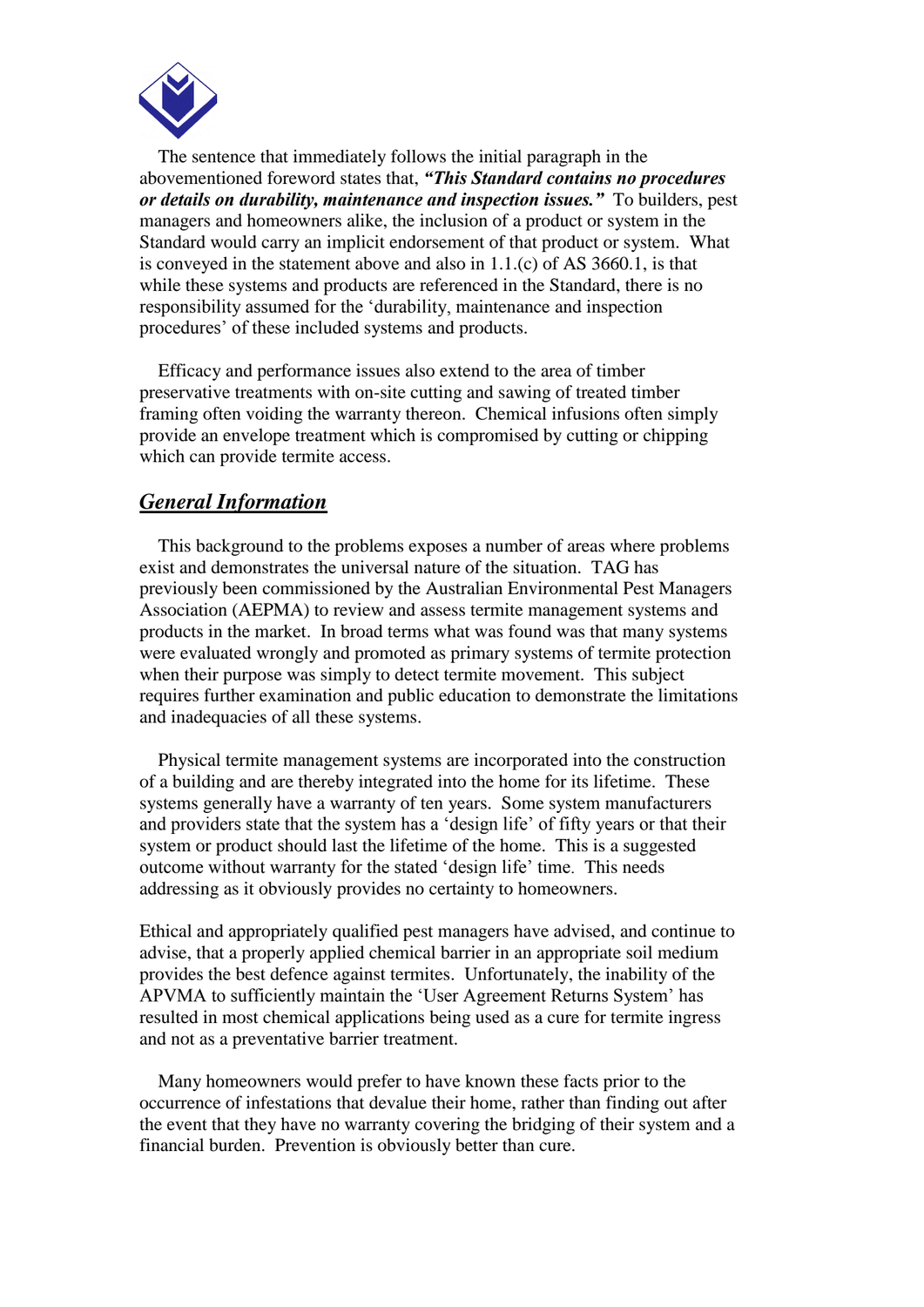

 The sentence that immediately follows the initial paragraph in the abovementioned foreword states that, *"This Standard contains no procedures or details on durability, maintenance and inspection issues."* To builders, pest managers and homeowners alike, the inclusion of a product or system in the Standard would carry an implicit endorsement of that product or system. What is conveyed in the statement above and also in 1.1.(c) of AS 3660.1, is that while these systems and products are referenced in the Standard, there is no responsibility assumed for the 'durability, maintenance and inspection procedures' of these included systems and products.

 Efficacy and performance issues also extend to the area of timber preservative treatments with on-site cutting and sawing of treated timber framing often voiding the warranty thereon. Chemical infusions often simply provide an envelope treatment which is compromised by cutting or chipping which can provide termite access.

### *General Information*

 This background to the problems exposes a number of areas where problems exist and demonstrates the universal nature of the situation. TAG has previously been commissioned by the Australian Environmental Pest Managers Association (AEPMA) to review and assess termite management systems and products in the market. In broad terms what was found was that many systems were evaluated wrongly and promoted as primary systems of termite protection when their purpose was simply to detect termite movement. This subject requires further examination and public education to demonstrate the limitations and inadequacies of all these systems.

 Physical termite management systems are incorporated into the construction of a building and are thereby integrated into the home for its lifetime. These systems generally have a warranty of ten years. Some system manufacturers and providers state that the system has a 'design life' of fifty years or that their system or product should last the lifetime of the home. This is a suggested outcome without warranty for the stated 'design life' time. This needs addressing as it obviously provides no certainty to homeowners.

Ethical and appropriately qualified pest managers have advised, and continue to advise, that a properly applied chemical barrier in an appropriate soil medium provides the best defence against termites. Unfortunately, the inability of the APVMA to sufficiently maintain the 'User Agreement Returns System' has resulted in most chemical applications being used as a cure for termite ingress and not as a preventative barrier treatment.

 Many homeowners would prefer to have known these facts prior to the occurrence of infestations that devalue their home, rather than finding out after the event that they have no warranty covering the bridging of their system and a financial burden. Prevention is obviously better than cure.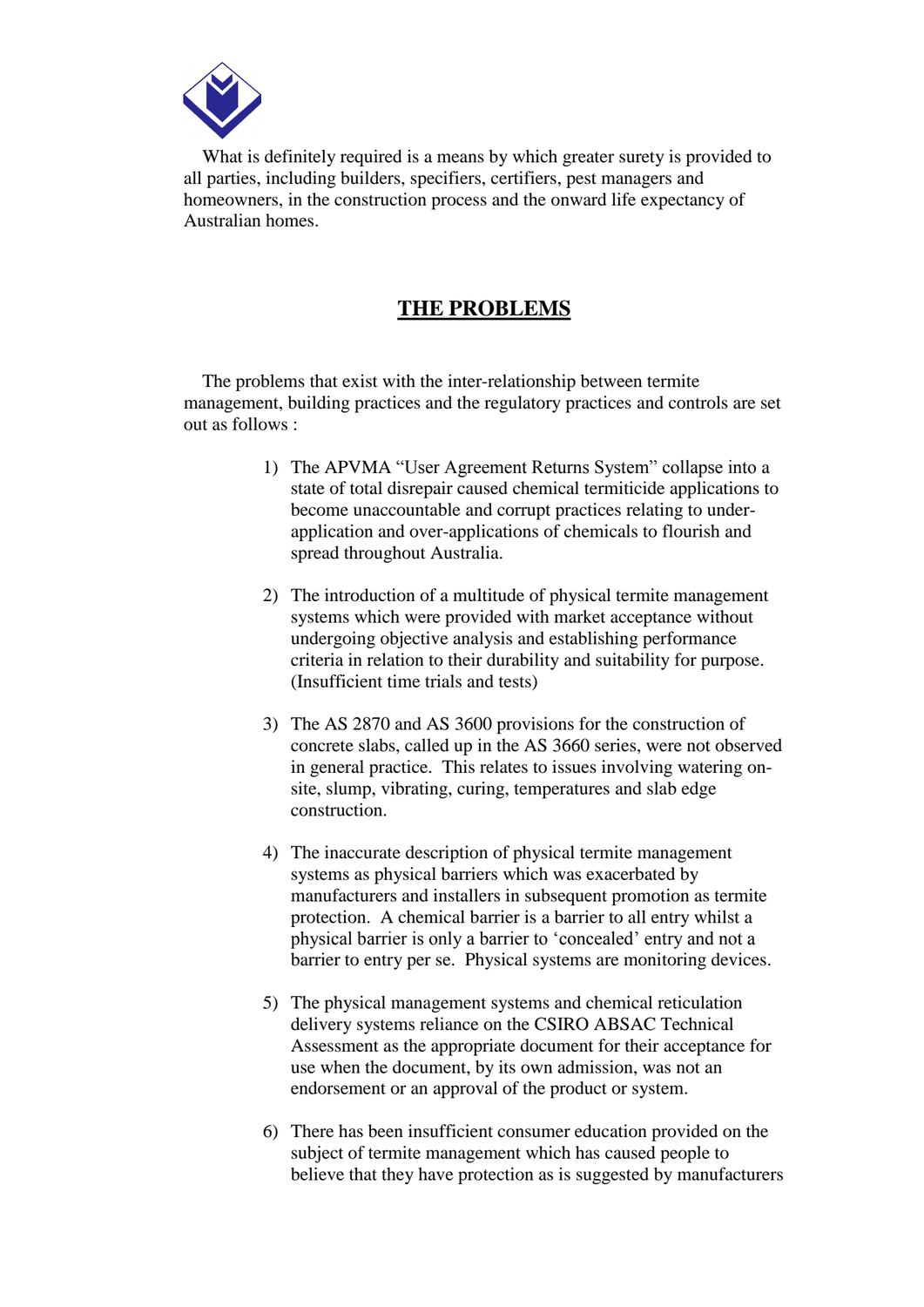

 What is definitely required is a means by which greater surety is provided to all parties, including builders, specifiers, certifiers, pest managers and homeowners, in the construction process and the onward life expectancy of Australian homes.

## **THE PROBLEMS**

 The problems that exist with the inter-relationship between termite management, building practices and the regulatory practices and controls are set out as follows :

- 1) The APVMA "User Agreement Returns System" collapse into a state of total disrepair caused chemical termiticide applications to become unaccountable and corrupt practices relating to underapplication and over-applications of chemicals to flourish and spread throughout Australia.
- 2) The introduction of a multitude of physical termite management systems which were provided with market acceptance without undergoing objective analysis and establishing performance criteria in relation to their durability and suitability for purpose. (Insufficient time trials and tests)
- 3) The AS 2870 and AS 3600 provisions for the construction of concrete slabs, called up in the AS 3660 series, were not observed in general practice. This relates to issues involving watering onsite, slump, vibrating, curing, temperatures and slab edge construction.
- 4) The inaccurate description of physical termite management systems as physical barriers which was exacerbated by manufacturers and installers in subsequent promotion as termite protection. A chemical barrier is a barrier to all entry whilst a physical barrier is only a barrier to 'concealed' entry and not a barrier to entry per se. Physical systems are monitoring devices.
- 5) The physical management systems and chemical reticulation delivery systems reliance on the CSIRO ABSAC Technical Assessment as the appropriate document for their acceptance for use when the document, by its own admission, was not an endorsement or an approval of the product or system.
- 6) There has been insufficient consumer education provided on the subject of termite management which has caused people to believe that they have protection as is suggested by manufacturers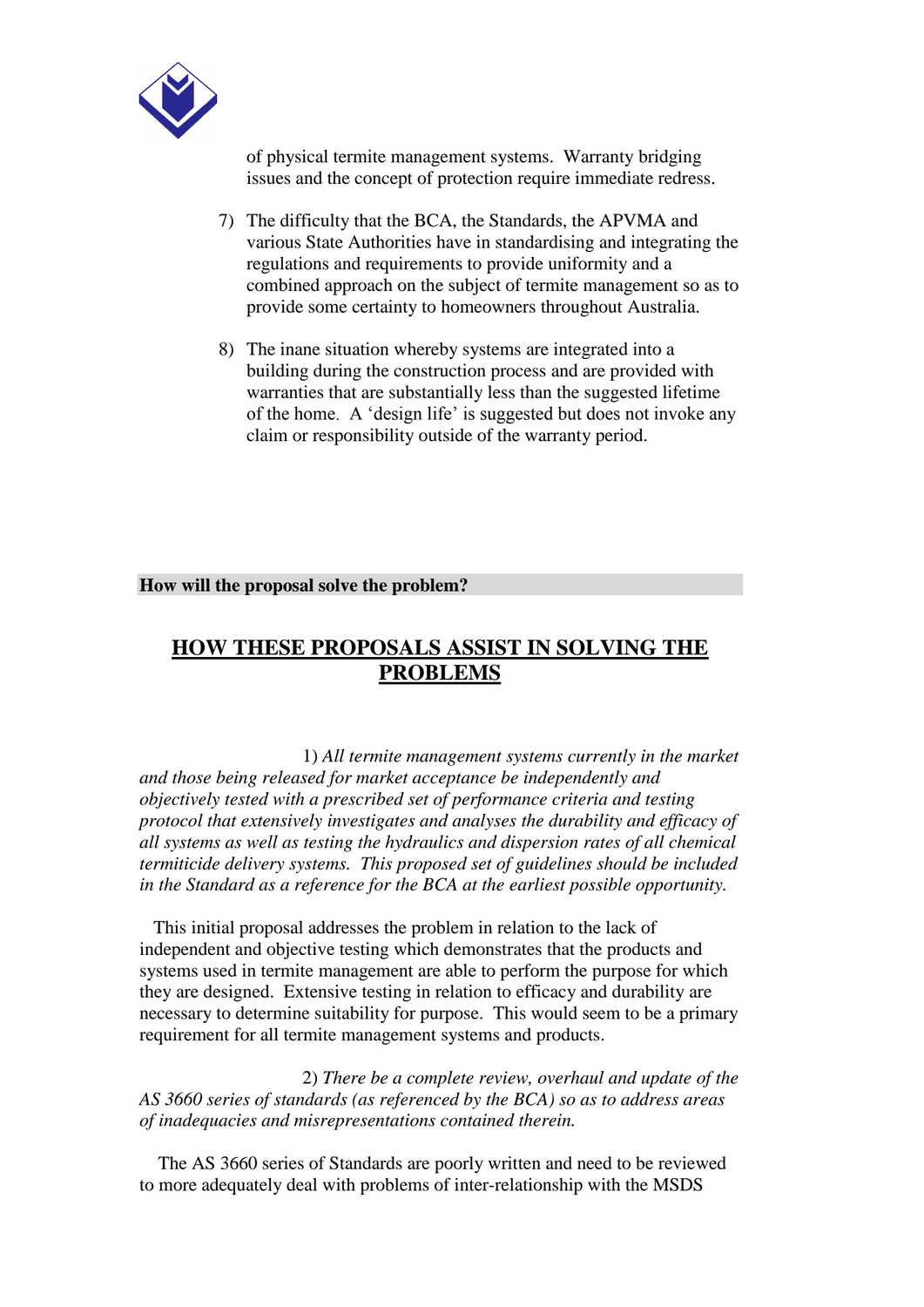

of physical termite management systems. Warranty bridging issues and the concept of protection require immediate redress.

- 7) The difficulty that the BCA, the Standards, the APVMA and various State Authorities have in standardising and integrating the regulations and requirements to provide uniformity and a combined approach on the subject of termite management so as to provide some certainty to homeowners throughout Australia.
- 8) The inane situation whereby systems are integrated into a building during the construction process and are provided with warranties that are substantially less than the suggested lifetime of the home. A 'design life' is suggested but does not invoke any claim or responsibility outside of the warranty period.

**How will the proposal solve the problem?**

## **HOW THESE PROPOSALS ASSIST IN SOLVING THE PROBLEMS**

 1) *All termite management systems currently in the market and those being released for market acceptance be independently and objectively tested with a prescribed set of performance criteria and testing protocol that extensively investigates and analyses the durability and efficacy of all systems as well as testing the hydraulics and dispersion rates of all chemical termiticide delivery systems. This proposed set of guidelines should be included in the Standard as a reference for the BCA at the earliest possible opportunity.*

 This initial proposal addresses the problem in relation to the lack of independent and objective testing which demonstrates that the products and systems used in termite management are able to perform the purpose for which they are designed. Extensive testing in relation to efficacy and durability are necessary to determine suitability for purpose. This would seem to be a primary requirement for all termite management systems and products.

 2) *There be a complete review, overhaul and update of the AS 3660 series of standards (as referenced by the BCA) so as to address areas of inadequacies and misrepresentations contained therein.*

 The AS 3660 series of Standards are poorly written and need to be reviewed to more adequately deal with problems of inter-relationship with the MSDS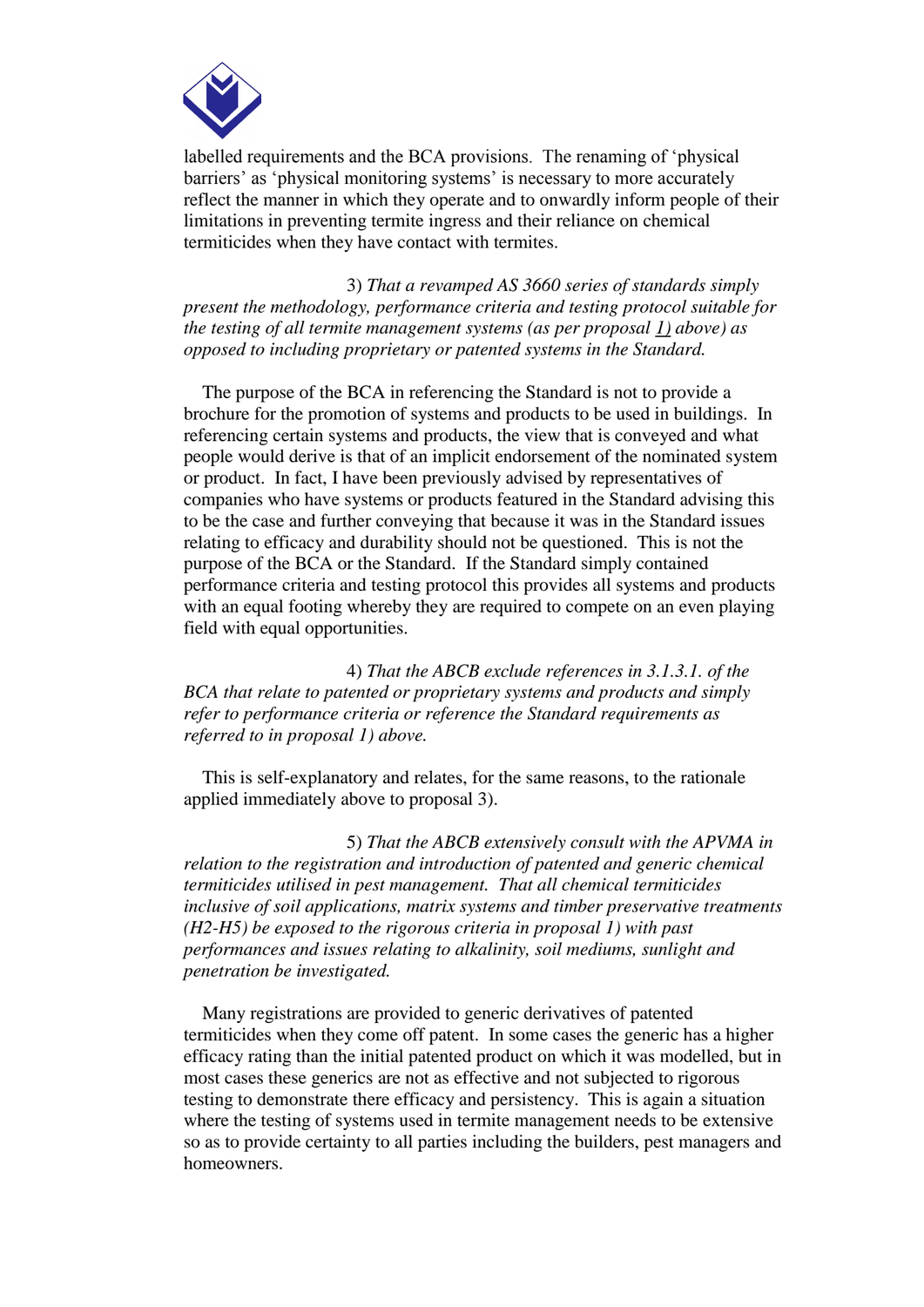

labelled requirements and the BCA provisions. The renaming of 'physical barriers' as 'physical monitoring systems' is necessary to more accurately reflect the manner in which they operate and to onwardly inform people of their limitations in preventing termite ingress and their reliance on chemical termiticides when they have contact with termites.

 3) *That a revamped AS 3660 series of standards simply present the methodology, performance criteria and testing protocol suitable for the testing of all termite management systems (as per proposal 1) above) as opposed to including proprietary or patented systems in the Standard.*

 The purpose of the BCA in referencing the Standard is not to provide a brochure for the promotion of systems and products to be used in buildings. In referencing certain systems and products, the view that is conveyed and what people would derive is that of an implicit endorsement of the nominated system or product. In fact, I have been previously advised by representatives of companies who have systems or products featured in the Standard advising this to be the case and further conveying that because it was in the Standard issues relating to efficacy and durability should not be questioned. This is not the purpose of the BCA or the Standard. If the Standard simply contained performance criteria and testing protocol this provides all systems and products with an equal footing whereby they are required to compete on an even playing field with equal opportunities.

 4) *That the ABCB exclude references in 3.1.3.1. of the BCA that relate to patented or proprietary systems and products and simply refer to performance criteria or reference the Standard requirements as referred to in proposal 1) above.*

 This is self-explanatory and relates, for the same reasons, to the rationale applied immediately above to proposal 3).

 5) *That the ABCB extensively consult with the APVMA in relation to the registration and introduction of patented and generic chemical termiticides utilised in pest management. That all chemical termiticides inclusive of soil applications, matrix systems and timber preservative treatments (H2-H5) be exposed to the rigorous criteria in proposal 1) with past performances and issues relating to alkalinity, soil mediums, sunlight and penetration be investigated.*

 Many registrations are provided to generic derivatives of patented termiticides when they come off patent. In some cases the generic has a higher efficacy rating than the initial patented product on which it was modelled, but in most cases these generics are not as effective and not subjected to rigorous testing to demonstrate there efficacy and persistency. This is again a situation where the testing of systems used in termite management needs to be extensive so as to provide certainty to all parties including the builders, pest managers and homeowners.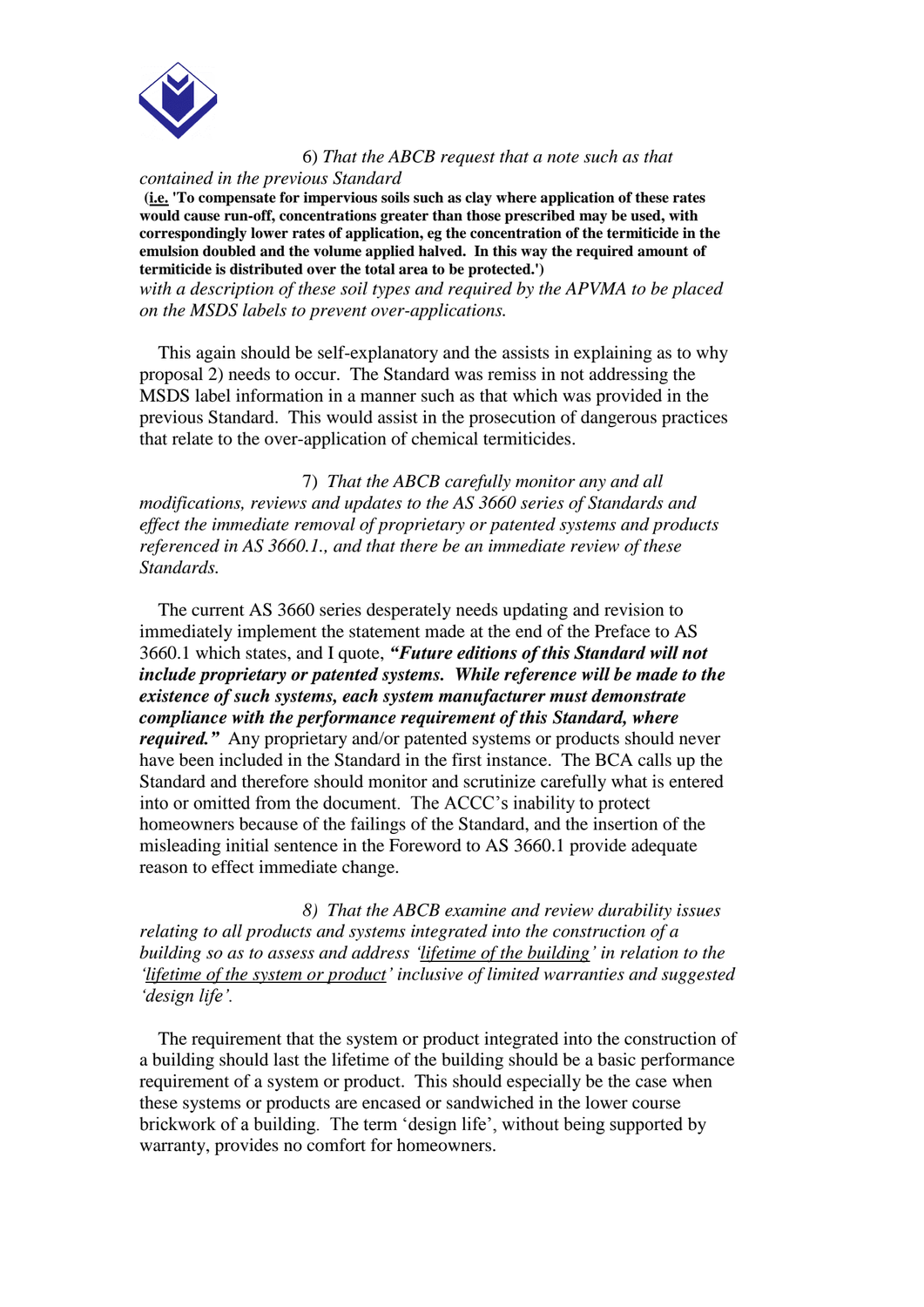

6) *That the ABCB request that a note such as that* 

*contained in the previous Standard*

**(i.e. 'To compensate for impervious soils such as clay where application of these rates would cause run-off, concentrations greater than those prescribed may be used, with correspondingly lower rates of application, eg the concentration of the termiticide in the emulsion doubled and the volume applied halved. In this way the required amount of termiticide is distributed over the total area to be protected.')**

*with a description of these soil types and required by the APVMA to be placed on the MSDS labels to prevent over-applications.*

 This again should be self-explanatory and the assists in explaining as to why proposal 2) needs to occur. The Standard was remiss in not addressing the MSDS label information in a manner such as that which was provided in the previous Standard. This would assist in the prosecution of dangerous practices that relate to the over-application of chemical termiticides.

 7) *That the ABCB carefully monitor any and all modifications, reviews and updates to the AS 3660 series of Standards and effect the immediate removal of proprietary or patented systems and products referenced in AS 3660.1., and that there be an immediate review of these Standards.* 

 The current AS 3660 series desperately needs updating and revision to immediately implement the statement made at the end of the Preface to AS 3660.1 which states, and I quote, *"Future editions of this Standard will not include proprietary or patented systems. While reference will be made to the existence of such systems, each system manufacturer must demonstrate compliance with the performance requirement of this Standard, where required.*" Any proprietary and/or patented systems or products should never have been included in the Standard in the first instance. The BCA calls up the Standard and therefore should monitor and scrutinize carefully what is entered into or omitted from the document. The ACCC's inability to protect homeowners because of the failings of the Standard, and the insertion of the misleading initial sentence in the Foreword to AS 3660.1 provide adequate reason to effect immediate change.

 *8) That the ABCB examine and review durability issues relating to all products and systems integrated into the construction of a building so as to assess and address 'lifetime of the building' in relation to the 'lifetime of the system or product' inclusive of limited warranties and suggested 'design life'.*

 The requirement that the system or product integrated into the construction of a building should last the lifetime of the building should be a basic performance requirement of a system or product. This should especially be the case when these systems or products are encased or sandwiched in the lower course brickwork of a building. The term 'design life', without being supported by warranty, provides no comfort for homeowners.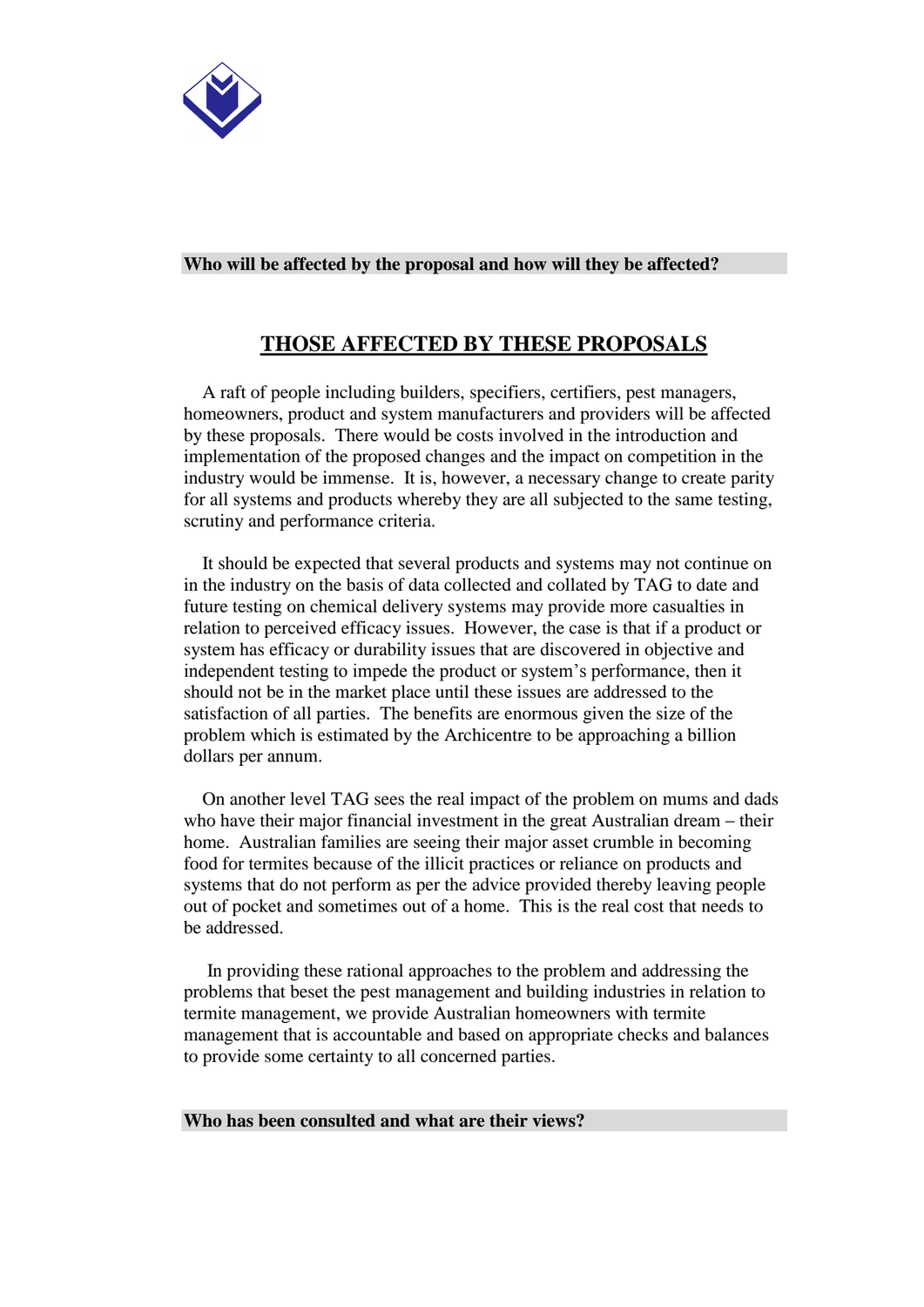

#### **Who will be affected by the proposal and how will they be affected?**

## **THOSE AFFECTED BY THESE PROPOSALS**

 A raft of people including builders, specifiers, certifiers, pest managers, homeowners, product and system manufacturers and providers will be affected by these proposals. There would be costs involved in the introduction and implementation of the proposed changes and the impact on competition in the industry would be immense. It is, however, a necessary change to create parity for all systems and products whereby they are all subjected to the same testing, scrutiny and performance criteria.

 It should be expected that several products and systems may not continue on in the industry on the basis of data collected and collated by TAG to date and future testing on chemical delivery systems may provide more casualties in relation to perceived efficacy issues. However, the case is that if a product or system has efficacy or durability issues that are discovered in objective and independent testing to impede the product or system's performance, then it should not be in the market place until these issues are addressed to the satisfaction of all parties. The benefits are enormous given the size of the problem which is estimated by the Archicentre to be approaching a billion dollars per annum.

 On another level TAG sees the real impact of the problem on mums and dads who have their major financial investment in the great Australian dream – their home. Australian families are seeing their major asset crumble in becoming food for termites because of the illicit practices or reliance on products and systems that do not perform as per the advice provided thereby leaving people out of pocket and sometimes out of a home. This is the real cost that needs to be addressed.

 In providing these rational approaches to the problem and addressing the problems that beset the pest management and building industries in relation to termite management, we provide Australian homeowners with termite management that is accountable and based on appropriate checks and balances to provide some certainty to all concerned parties.

#### **Who has been consulted and what are their views?**